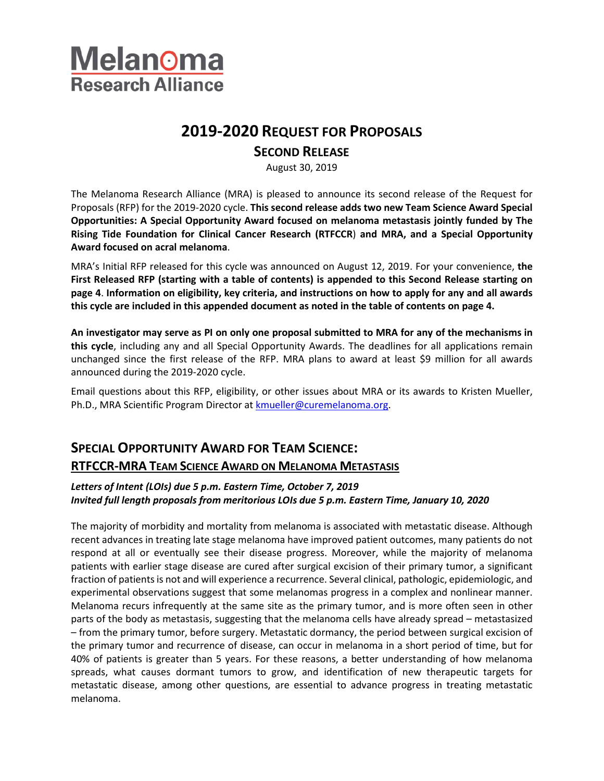

# **2019-2020 REQUEST FOR PROPOSALS**

## **SECOND RELEASE**

August 30, 2019

The Melanoma Research Alliance (MRA) is pleased to announce its second release of the Request for Proposals (RFP) for the 2019-2020 cycle. **This second release adds two new Team Science Award Special Opportunities: A Special Opportunity Award focused on melanoma metastasis jointly funded by The Rising Tide Foundation for Clinical Cancer Research (RTFCCR**) **and MRA, and a Special Opportunity Award focused on acral melanoma**.

MRA's Initial RFP released for this cycle was announced on August 12, 2019. For your convenience, **the First Released RFP (starting with a table of contents) is appended to this Second Release starting on page 4**. **Information on eligibility, key criteria, and instructions on how to apply for any and all awards this cycle are included in this appended document as noted in the table of contents on page 4.** 

**An investigator may serve as PI on only one proposal submitted to MRA for any of the mechanisms in this cycle**, including any and all Special Opportunity Awards. The deadlines for all applications remain unchanged since the first release of the RFP. MRA plans to award at least \$9 million for all awards announced during the 2019-2020 cycle.

Email questions about this RFP, eligibility, or other issues about MRA or its awards to Kristen Mueller, Ph.D., MRA Scientific Program Director at **kmueller@curemelanoma.org**.

# **SPECIAL OPPORTUNITY AWARD FOR TEAM SCIENCE: RTFCCR-MRA TEAM SCIENCE AWARD ON MELANOMA METASTASIS**

#### *Letters of Intent (LOIs) due 5 p.m. Eastern Time, October 7, 2019 Invited full length proposals from meritorious LOIs due 5 p.m. Eastern Time, January 10, 2020*

The majority of morbidity and mortality from melanoma is associated with metastatic disease. Although recent advances in treating late stage melanoma have improved patient outcomes, many patients do not respond at all or eventually see their disease progress. Moreover, while the majority of melanoma patients with earlier stage disease are cured after surgical excision of their primary tumor, a significant fraction of patients is not and will experience a recurrence. Several clinical, pathologic, epidemiologic, and experimental observations suggest that some melanomas progress in a complex and nonlinear manner. Melanoma recurs infrequently at the same site as the primary tumor, and is more often seen in other parts of the body as metastasis, suggesting that the melanoma cells have already spread – metastasized – from the primary tumor, before surgery. Metastatic dormancy, the period between surgical excision of the primary tumor and recurrence of disease, can occur in melanoma in a short period of time, but for 40% of patients is greater than 5 years. For these reasons, a better understanding of how melanoma spreads, what causes dormant tumors to grow, and identification of new therapeutic targets for metastatic disease, among other questions, are essential to advance progress in treating metastatic melanoma.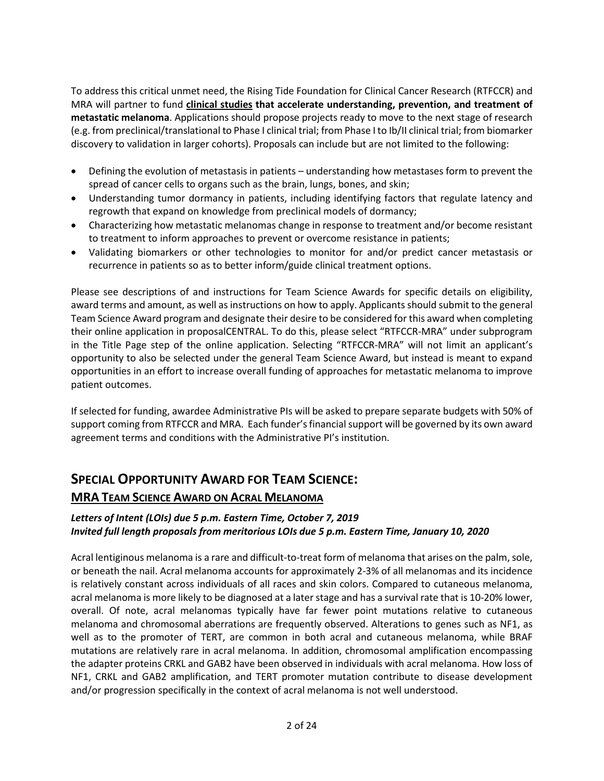To address this critical unmet need, the Rising Tide Foundation for Clinical Cancer Research (RTFCCR) and MRA will partner to fund **clinical studies that accelerate understanding, prevention, and treatment of metastatic melanoma**. Applications should propose projects ready to move to the next stage of research (e.g. from preclinical/translational to Phase I clinical trial; from Phase I to Ib/II clinical trial; from biomarker discovery to validation in larger cohorts). Proposals can include but are not limited to the following:

- Defining the evolution of metastasis in patients understanding how metastases form to prevent the spread of cancer cells to organs such as the brain, lungs, bones, and skin;
- Understanding tumor dormancy in patients, including identifying factors that regulate latency and regrowth that expand on knowledge from preclinical models of dormancy;
- Characterizing how metastatic melanomas change in response to treatment and/or become resistant to treatment to inform approaches to prevent or overcome resistance in patients;
- Validating biomarkers or other technologies to monitor for and/or predict cancer metastasis or recurrence in patients so as to better inform/guide clinical treatment options.

Please see descriptions of and instructions for Team Science Awards for specific details on eligibility, award terms and amount, as well as instructions on how to apply. Applicants should submit to the general Team Science Award program and designate their desire to be considered for this award when completing their online application in proposalCENTRAL. To do this, please select "RTFCCR-MRA" under subprogram in the Title Page step of the online application. Selecting "RTFCCR-MRA" will not limit an applicant's opportunity to also be selected under the general Team Science Award, but instead is meant to expand opportunities in an effort to increase overall funding of approaches for metastatic melanoma to improve patient outcomes.

If selected for funding, awardee Administrative PIs will be asked to prepare separate budgets with 50% of support coming from RTFCCR and MRA. Each funder's financial support will be governed by its own award agreement terms and conditions with the Administrative PI's institution.

## **SPECIAL OPPORTUNITY AWARD FOR TEAM SCIENCE:**

### **MRA TEAM SCIENCE AWARD ON ACRAL MELANOMA**

### *Letters of Intent (LOIs) due 5 p.m. Eastern Time, October 7, 2019 Invited full length proposals from meritorious LOIs due 5 p.m. Eastern Time, January 10, 2020*

Acral lentiginous melanoma is a rare and difficult-to-treat form of melanoma that arises on the palm, sole, or beneath the nail. Acral melanoma accounts for approximately 2-3% of all melanomas and its incidence is relatively constant across individuals of all races and skin colors. Compared to cutaneous melanoma, acral melanoma is more likely to be diagnosed at a later stage and has a survival rate that is 10-20% lower, overall. Of note, acral melanomas typically have far fewer point mutations relative to cutaneous melanoma and chromosomal aberrations are frequently observed. Alterations to genes such as NF1, as well as to the promoter of TERT, are common in both acral and cutaneous melanoma, while BRAF mutations are relatively rare in acral melanoma. In addition, chromosomal amplification encompassing the adapter proteins CRKL and GAB2 have been observed in individuals with acral melanoma. How loss of NF1, CRKL and GAB2 amplification, and TERT promoter mutation contribute to disease development and/or progression specifically in the context of acral melanoma is not well understood.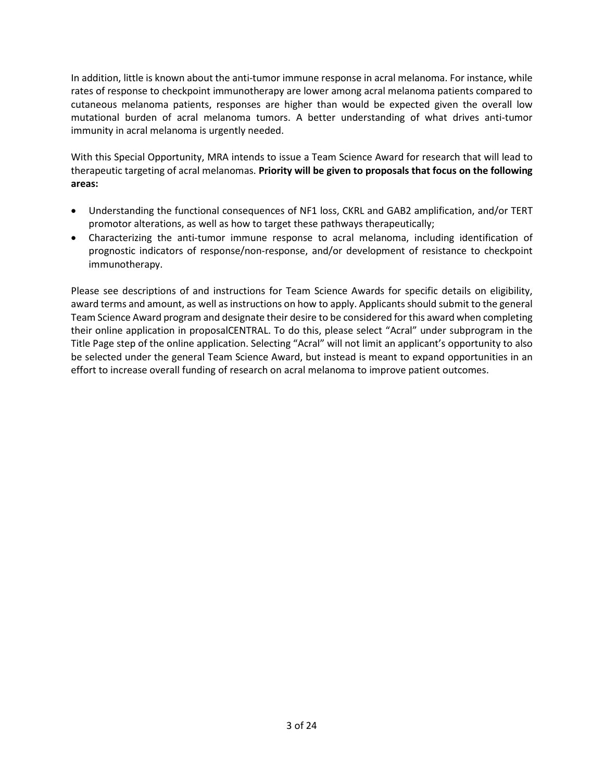In addition, little is known about the anti-tumor immune response in acral melanoma. For instance, while rates of response to checkpoint immunotherapy are lower among acral melanoma patients compared to cutaneous melanoma patients, responses are higher than would be expected given the overall low mutational burden of acral melanoma tumors. A better understanding of what drives anti-tumor immunity in acral melanoma is urgently needed.

With this Special Opportunity, MRA intends to issue a Team Science Award for research that will lead to therapeutic targeting of acral melanomas. **Priority will be given to proposals that focus on the following areas:**

- Understanding the functional consequences of NF1 loss, CKRL and GAB2 amplification, and/or TERT promotor alterations, as well as how to target these pathways therapeutically;
- Characterizing the anti-tumor immune response to acral melanoma, including identification of prognostic indicators of response/non-response, and/or development of resistance to checkpoint immunotherapy.

Please see descriptions of and instructions for Team Science Awards for specific details on eligibility, award terms and amount, as well as instructions on how to apply. Applicants should submit to the general Team Science Award program and designate their desire to be considered for this award when completing their online application in proposalCENTRAL. To do this, please select "Acral" under subprogram in the Title Page step of the online application. Selecting "Acral" will not limit an applicant's opportunity to also be selected under the general Team Science Award, but instead is meant to expand opportunities in an effort to increase overall funding of research on acral melanoma to improve patient outcomes.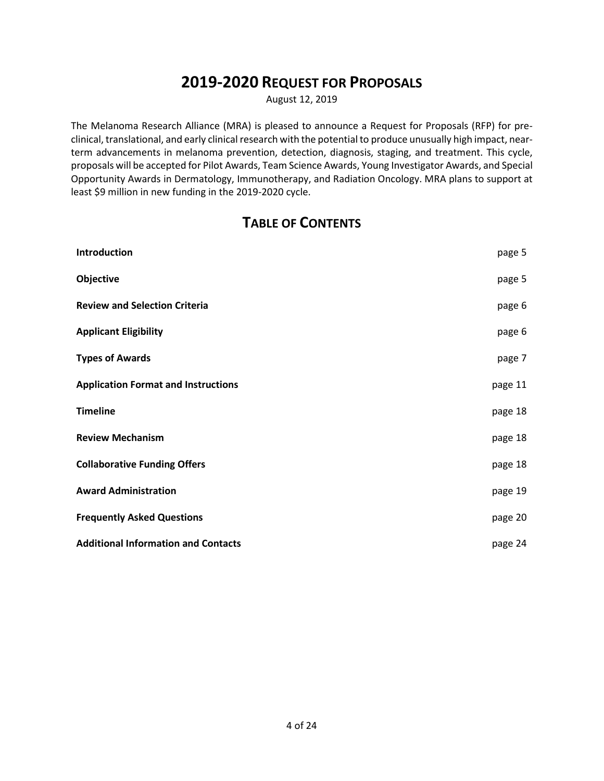# **2019-2020 REQUEST FOR PROPOSALS**

August 12, 2019

The Melanoma Research Alliance (MRA) is pleased to announce a Request for Proposals (RFP) for preclinical, translational, and early clinical research with the potential to produce unusually high impact, nearterm advancements in melanoma prevention, detection, diagnosis, staging, and treatment. This cycle, proposals will be accepted for Pilot Awards, Team Science Awards, Young Investigator Awards, and Special Opportunity Awards in Dermatology, Immunotherapy, and Radiation Oncology. MRA plans to support at least \$9 million in new funding in the 2019-2020 cycle.

# **TABLE OF CONTENTS**

| Introduction                               | page 5  |
|--------------------------------------------|---------|
| Objective                                  | page 5  |
| <b>Review and Selection Criteria</b>       | page 6  |
| <b>Applicant Eligibility</b>               | page 6  |
| <b>Types of Awards</b>                     | page 7  |
| <b>Application Format and Instructions</b> | page 11 |
| <b>Timeline</b>                            | page 18 |
| <b>Review Mechanism</b>                    | page 18 |
| <b>Collaborative Funding Offers</b>        | page 18 |
| <b>Award Administration</b>                | page 19 |
| <b>Frequently Asked Questions</b>          | page 20 |
| <b>Additional Information and Contacts</b> | page 24 |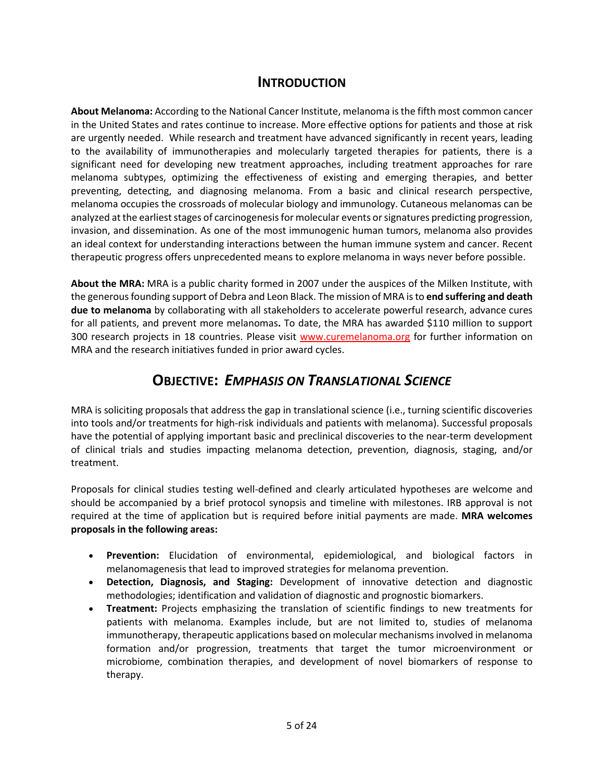## **INTRODUCTION**

**About Melanoma:** According to the National Cancer Institute, melanoma is the fifth most common cancer in the United States and rates continue to increase. More effective options for patients and those at risk are urgently needed. While research and treatment have advanced significantly in recent years, leading to the availability of immunotherapies and molecularly targeted therapies for patients, there is a significant need for developing new treatment approaches, including treatment approaches for rare melanoma subtypes, optimizing the effectiveness of existing and emerging therapies, and better preventing, detecting, and diagnosing melanoma. From a basic and clinical research perspective, melanoma occupies the crossroads of molecular biology and immunology. Cutaneous melanomas can be analyzed at the earliest stages of carcinogenesis for molecular events or signatures predicting progression, invasion, and dissemination. As one of the most immunogenic human tumors, melanoma also provides an ideal context for understanding interactions between the human immune system and cancer. Recent therapeutic progress offers unprecedented means to explore melanoma in ways never before possible.

**About the MRA:** MRA is a public charity formed in 2007 under the auspices of the Milken Institute, with the generous founding support of Debra and Leon Black. The mission of MRA is to **end suffering and death due to melanoma** by collaborating with all stakeholders to accelerate powerful research, advance cures for all patients, and prevent more melanomas**.** To date, the MRA has awarded \$110 million to support 300 research projects in 18 countries. Please visit [www.curemelanoma.org](http://www.curemelanoma.org/) for further information on MRA and the research initiatives funded in prior award cycles.

## **OBJECTIVE:** *EMPHASIS ON TRANSLATIONAL SCIENCE*

MRA is soliciting proposals that address the gap in translational science (i.e., turning scientific discoveries into tools and/or treatments for high-risk individuals and patients with melanoma). Successful proposals have the potential of applying important basic and preclinical discoveries to the near-term development of clinical trials and studies impacting melanoma detection, prevention, diagnosis, staging, and/or treatment.

Proposals for clinical studies testing well-defined and clearly articulated hypotheses are welcome and should be accompanied by a brief protocol synopsis and timeline with milestones. IRB approval is not required at the time of application but is required before initial payments are made. **MRA welcomes proposals in the following areas:**

- **Prevention:** Elucidation of environmental, epidemiological, and biological factors in melanomagenesis that lead to improved strategies for melanoma prevention.
- **Detection, Diagnosis, and Staging:** Development of innovative detection and diagnostic methodologies; identification and validation of diagnostic and prognostic biomarkers.
- **Treatment:** Projects emphasizing the translation of scientific findings to new treatments for patients with melanoma. Examples include, but are not limited to, studies of melanoma immunotherapy, therapeutic applications based on molecular mechanisms involved in melanoma formation and/or progression, treatments that target the tumor microenvironment or microbiome, combination therapies, and development of novel biomarkers of response to therapy.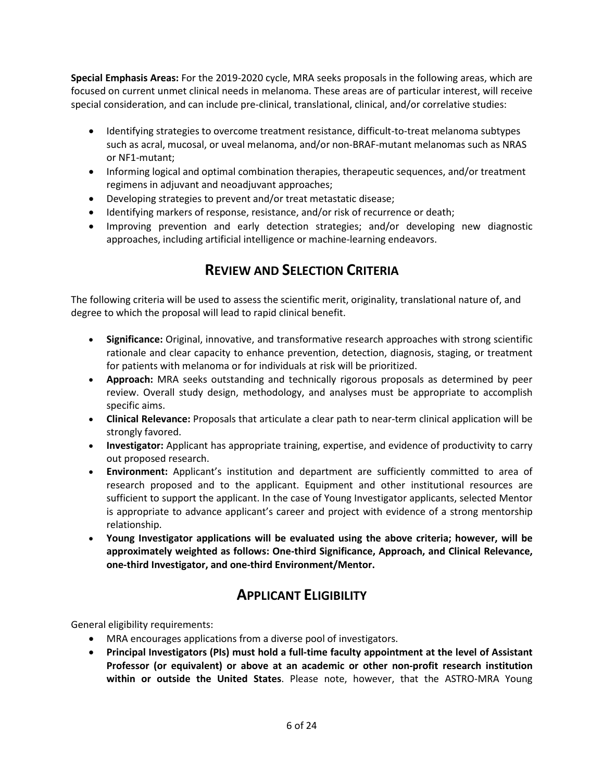**Special Emphasis Areas:** For the 2019-2020 cycle, MRA seeks proposals in the following areas, which are focused on current unmet clinical needs in melanoma. These areas are of particular interest, will receive special consideration, and can include pre-clinical, translational, clinical, and/or correlative studies:

- Identifying strategies to overcome treatment resistance, difficult-to-treat melanoma subtypes such as acral, mucosal, or uveal melanoma, and/or non-BRAF-mutant melanomas such as NRAS or NF1-mutant;
- Informing logical and optimal combination therapies, therapeutic sequences, and/or treatment regimens in adjuvant and neoadjuvant approaches;
- Developing strategies to prevent and/or treat metastatic disease;
- Identifying markers of response, resistance, and/or risk of recurrence or death;
- Improving prevention and early detection strategies; and/or developing new diagnostic approaches, including artificial intelligence or machine-learning endeavors.

# **REVIEW AND SELECTION CRITERIA**

The following criteria will be used to assess the scientific merit, originality, translational nature of, and degree to which the proposal will lead to rapid clinical benefit.

- **Significance:** Original, innovative, and transformative research approaches with strong scientific rationale and clear capacity to enhance prevention, detection, diagnosis, staging, or treatment for patients with melanoma or for individuals at risk will be prioritized.
- **Approach:** MRA seeks outstanding and technically rigorous proposals as determined by peer review. Overall study design, methodology, and analyses must be appropriate to accomplish specific aims.
- **Clinical Relevance:** Proposals that articulate a clear path to near-term clinical application will be strongly favored.
- **Investigator:** Applicant has appropriate training, expertise, and evidence of productivity to carry out proposed research.
- **Environment:** Applicant's institution and department are sufficiently committed to area of research proposed and to the applicant. Equipment and other institutional resources are sufficient to support the applicant. In the case of Young Investigator applicants, selected Mentor is appropriate to advance applicant's career and project with evidence of a strong mentorship relationship.
- **Young Investigator applications will be evaluated using the above criteria; however, will be approximately weighted as follows: One-third Significance, Approach, and Clinical Relevance, one-third Investigator, and one-third Environment/Mentor.**

# **APPLICANT ELIGIBILITY**

General eligibility requirements:

- MRA encourages applications from a diverse pool of investigators.
- **Principal Investigators (PIs) must hold a full-time faculty appointment at the level of Assistant Professor (or equivalent) or above at an academic or other non-profit research institution within or outside the United States**. Please note, however, that the ASTRO-MRA Young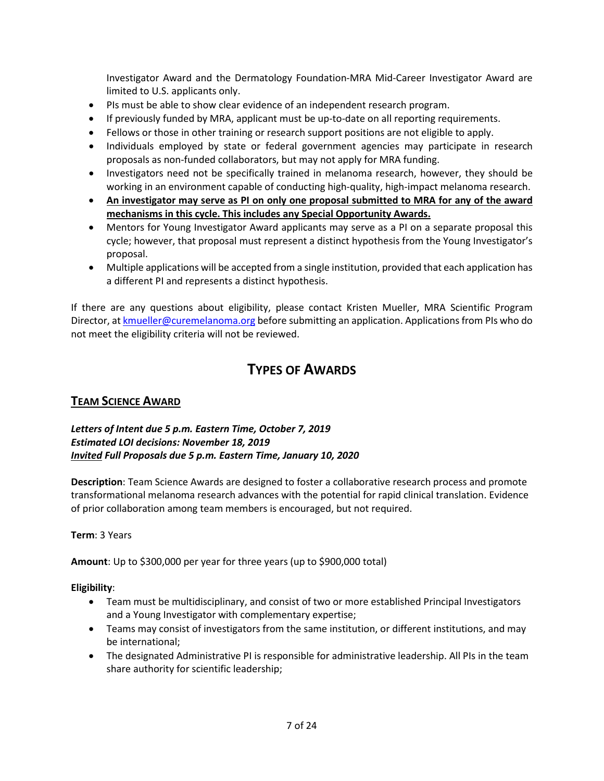Investigator Award and the Dermatology Foundation-MRA Mid-Career Investigator Award are limited to U.S. applicants only.

- PIs must be able to show clear evidence of an independent research program.
- If previously funded by MRA, applicant must be up-to-date on all reporting requirements.
- Fellows or those in other training or research support positions are not eligible to apply.
- Individuals employed by state or federal government agencies may participate in research proposals as non-funded collaborators, but may not apply for MRA funding.
- Investigators need not be specifically trained in melanoma research, however, they should be working in an environment capable of conducting high-quality, high-impact melanoma research.
- **An investigator may serve as PI on only one proposal submitted to MRA for any of the award mechanisms in this cycle. This includes any Special Opportunity Awards.**
- Mentors for Young Investigator Award applicants may serve as a PI on a separate proposal this cycle; however, that proposal must represent a distinct hypothesis from the Young Investigator's proposal.
- Multiple applications will be accepted from a single institution, provided that each application has a different PI and represents a distinct hypothesis.

If there are any questions about eligibility, please contact Kristen Mueller, MRA Scientific Program Director, a[t kmueller@curemelanoma.org](mailto:kmueller@curemelanoma.org) before submitting an application. Applications from PIs who do not meet the eligibility criteria will not be reviewed.

# **TYPES OF AWARDS**

## **TEAM SCIENCE AWARD**

### *Letters of Intent due 5 p.m. Eastern Time, October 7, 2019 Estimated LOI decisions: November 18, 2019 Invited Full Proposals due 5 p.m. Eastern Time, January 10, 2020*

**Description**: Team Science Awards are designed to foster a collaborative research process and promote transformational melanoma research advances with the potential for rapid clinical translation. Evidence of prior collaboration among team members is encouraged, but not required.

### **Term**: 3 Years

**Amount**: Up to \$300,000 per year for three years (up to \$900,000 total)

**Eligibility**:

- Team must be multidisciplinary, and consist of two or more established Principal Investigators and a Young Investigator with complementary expertise;
- Teams may consist of investigators from the same institution, or different institutions, and may be international;
- The designated Administrative PI is responsible for administrative leadership. All PIs in the team share authority for scientific leadership;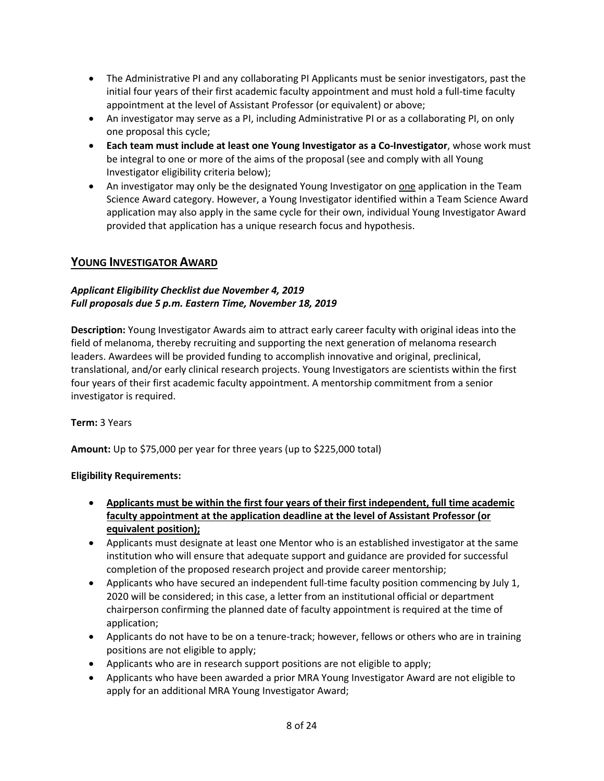- The Administrative PI and any collaborating PI Applicants must be senior investigators, past the initial four years of their first academic faculty appointment and must hold a full-time faculty appointment at the level of Assistant Professor (or equivalent) or above;
- An investigator may serve as a PI, including Administrative PI or as a collaborating PI, on only one proposal this cycle;
- **Each team must include at least one Young Investigator as a Co-Investigator**, whose work must be integral to one or more of the aims of the proposal (see and comply with all Young Investigator eligibility criteria below);
- An investigator may only be the designated Young Investigator on one application in the Team Science Award category. However, a Young Investigator identified within a Team Science Award application may also apply in the same cycle for their own, individual Young Investigator Award provided that application has a unique research focus and hypothesis.

## **YOUNG INVESTIGATOR AWARD**

### *Applicant Eligibility Checklist due November 4, 2019 Full proposals due 5 p.m. Eastern Time, November 18, 2019*

**Description:** Young Investigator Awards aim to attract early career faculty with original ideas into the field of melanoma, thereby recruiting and supporting the next generation of melanoma research leaders. Awardees will be provided funding to accomplish innovative and original, preclinical, translational, and/or early clinical research projects. Young Investigators are scientists within the first four years of their first academic faculty appointment. A mentorship commitment from a senior investigator is required.

### **Term:** 3 Years

**Amount:** Up to \$75,000 per year for three years (up to \$225,000 total)

### **Eligibility Requirements:**

- **Applicants must be within the first four years of their first independent, full time academic faculty appointment at the application deadline at the level of Assistant Professor (or equivalent position);**
- Applicants must designate at least one Mentor who is an established investigator at the same institution who will ensure that adequate support and guidance are provided for successful completion of the proposed research project and provide career mentorship;
- Applicants who have secured an independent full-time faculty position commencing by July 1, 2020 will be considered; in this case, a letter from an institutional official or department chairperson confirming the planned date of faculty appointment is required at the time of application;
- Applicants do not have to be on a tenure-track; however, fellows or others who are in training positions are not eligible to apply;
- Applicants who are in research support positions are not eligible to apply;
- Applicants who have been awarded a prior MRA Young Investigator Award are not eligible to apply for an additional MRA Young Investigator Award;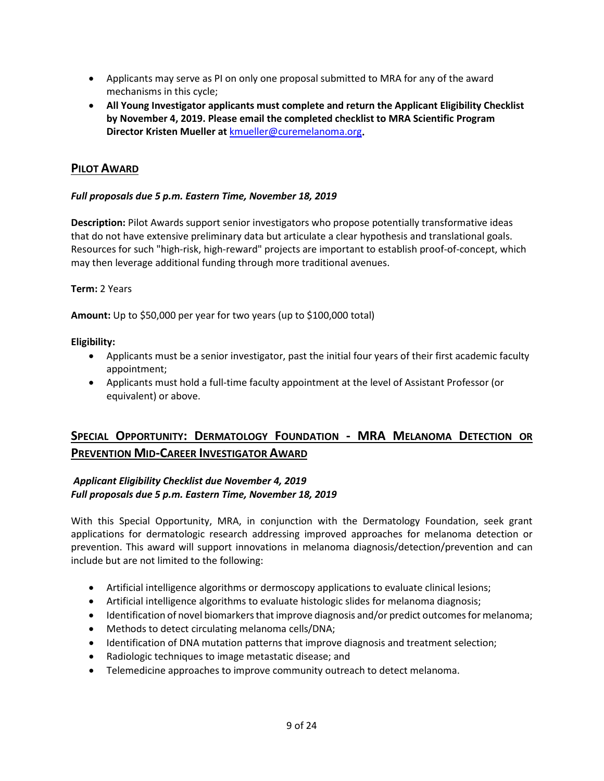- Applicants may serve as PI on only one proposal submitted to MRA for any of the award mechanisms in this cycle;
- **All Young Investigator applicants must complete and return the Applicant Eligibility Checklist by November 4, 2019. Please email the completed checklist to MRA Scientific Program Director Kristen Mueller at** [kmueller@curemelanoma.org](mailto:kmueller@curemelanoma.org)**.**

### **PILOT AWARD**

### *Full proposals due 5 p.m. Eastern Time, November 18, 2019*

**Description:** Pilot Awards support senior investigators who propose potentially transformative ideas that do not have extensive preliminary data but articulate a clear hypothesis and translational goals. Resources for such "high-risk, high-reward" projects are important to establish proof-of-concept, which may then leverage additional funding through more traditional avenues.

#### **Term:** 2 Years

**Amount:** Up to \$50,000 per year for two years (up to \$100,000 total)

#### **Eligibility:**

- Applicants must be a senior investigator, past the initial four years of their first academic faculty appointment;
- Applicants must hold a full-time faculty appointment at the level of Assistant Professor (or equivalent) or above.

## **SPECIAL OPPORTUNITY: DERMATOLOGY FOUNDATION - MRA MELANOMA DETECTION OR PREVENTION MID-CAREER INVESTIGATOR AWARD**

#### *Applicant Eligibility Checklist due November 4, 2019 Full proposals due 5 p.m. Eastern Time, November 18, 2019*

With this Special Opportunity, MRA, in conjunction with the Dermatology Foundation, seek grant applications for dermatologic research addressing improved approaches for melanoma detection or prevention. This award will support innovations in melanoma diagnosis/detection/prevention and can include but are not limited to the following:

- Artificial intelligence algorithms or dermoscopy applications to evaluate clinical lesions;
- Artificial intelligence algorithms to evaluate histologic slides for melanoma diagnosis;
- Identification of novel biomarkers that improve diagnosis and/or predict outcomes for melanoma;
- Methods to detect circulating melanoma cells/DNA;
- Identification of DNA mutation patterns that improve diagnosis and treatment selection;
- Radiologic techniques to image metastatic disease; and
- Telemedicine approaches to improve community outreach to detect melanoma.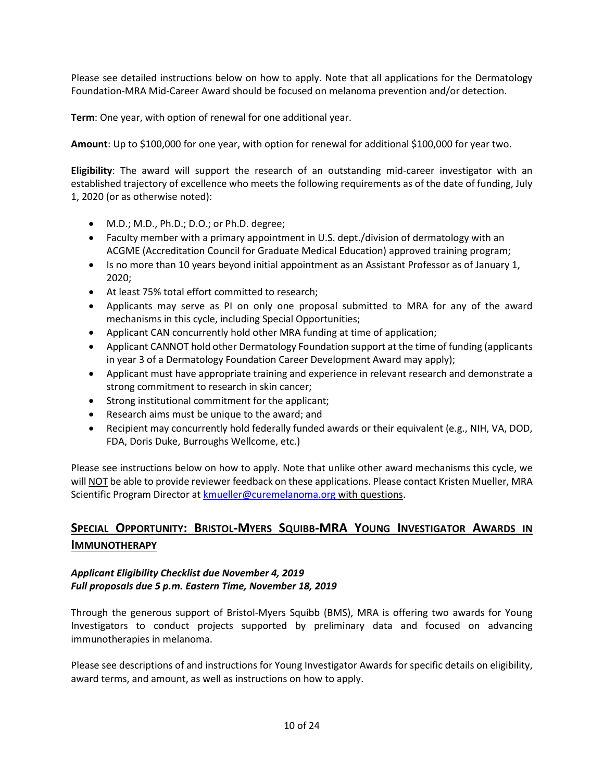Please see detailed instructions below on how to apply. Note that all applications for the Dermatology Foundation-MRA Mid-Career Award should be focused on melanoma prevention and/or detection.

**Term**: One year, with option of renewal for one additional year.

**Amount**: Up to \$100,000 for one year, with option for renewal for additional \$100,000 for year two.

**Eligibility**: The award will support the research of an outstanding mid-career investigator with an established trajectory of excellence who meets the following requirements as of the date of funding, July 1, 2020 (or as otherwise noted):

- M.D.; M.D., Ph.D.; D.O.; or Ph.D. degree;
- Faculty member with a primary appointment in U.S. dept./division of dermatology with an ACGME (Accreditation Council for Graduate Medical Education) approved training program;
- Is no more than 10 years beyond initial appointment as an Assistant Professor as of January 1, 2020;
- At least 75% total effort committed to research;
- Applicants may serve as PI on only one proposal submitted to MRA for any of the award mechanisms in this cycle, including Special Opportunities;
- Applicant CAN concurrently hold other MRA funding at time of application;
- Applicant CANNOT hold other Dermatology Foundation support at the time of funding (applicants in year 3 of a Dermatology Foundation Career Development Award may apply);
- Applicant must have appropriate training and experience in relevant research and demonstrate a strong commitment to research in skin cancer;
- Strong institutional commitment for the applicant;
- Research aims must be unique to the award; and
- Recipient may concurrently hold federally funded awards or their equivalent (e.g., NIH, VA, DOD, FDA, Doris Duke, Burroughs Wellcome, etc.)

Please see instructions below on how to apply. Note that unlike other award mechanisms this cycle, we will NOT be able to provide reviewer feedback on these applications. Please contact Kristen Mueller, MRA Scientific Program Director at [kmueller@curemelanoma.org](mailto:kmueller@curemelanoma.org) with questions.

## **SPECIAL OPPORTUNITY: BRISTOL-MYERS SQUIBB-MRA YOUNG INVESTIGATOR AWARDS IN IMMUNOTHERAPY**

#### *Applicant Eligibility Checklist due November 4, 2019 Full proposals due 5 p.m. Eastern Time, November 18, 2019*

Through the generous support of Bristol-Myers Squibb (BMS), MRA is offering two awards for Young Investigators to conduct projects supported by preliminary data and focused on advancing immunotherapies in melanoma.

Please see descriptions of and instructions for Young Investigator Awards for specific details on eligibility, award terms, and amount, as well as instructions on how to apply.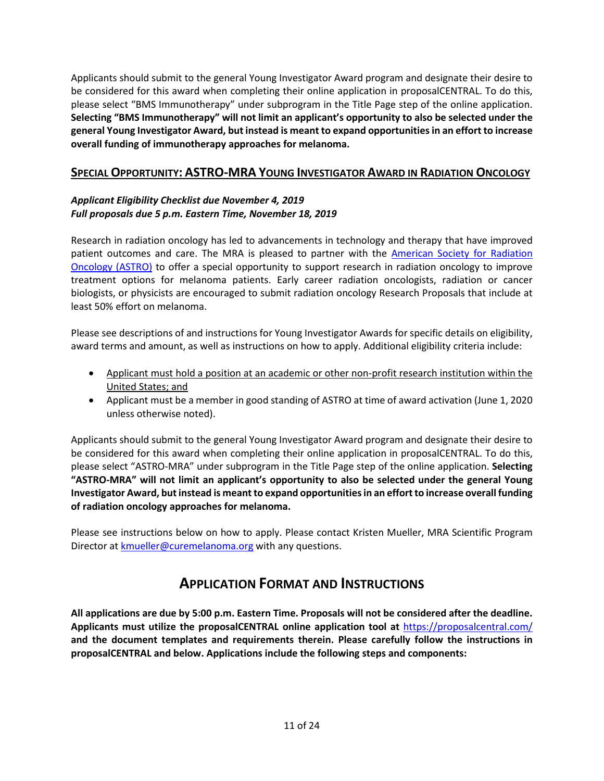Applicants should submit to the general Young Investigator Award program and designate their desire to be considered for this award when completing their online application in proposalCENTRAL. To do this, please select "BMS Immunotherapy" under subprogram in the Title Page step of the online application. **Selecting "BMS Immunotherapy" will not limit an applicant's opportunity to also be selected under the general Young Investigator Award, but instead is meant to expand opportunities in an effort to increase overall funding of immunotherapy approaches for melanoma.**

## **SPECIAL OPPORTUNITY: ASTRO-MRA YOUNG INVESTIGATOR AWARD IN RADIATION ONCOLOGY**

### *Applicant Eligibility Checklist due November 4, 2019 Full proposals due 5 p.m. Eastern Time, November 18, 2019*

Research in radiation oncology has led to advancements in technology and therapy that have improved patient outcomes and care. The MRA is pleased to partner with the [American Society for Radiation](https://www.astro.org/home/)  [Oncology \(ASTRO\)](https://www.astro.org/home/) to offer a special opportunity to support research in radiation oncology to improve treatment options for melanoma patients. Early career radiation oncologists, radiation or cancer biologists, or physicists are encouraged to submit radiation oncology Research Proposals that include at least 50% effort on melanoma.

Please see descriptions of and instructions for Young Investigator Awards for specific details on eligibility, award terms and amount, as well as instructions on how to apply. Additional eligibility criteria include:

- Applicant must hold a position at an academic or other non-profit research institution within the United States; and
- Applicant must be a member in good standing of ASTRO at time of award activation (June 1, 2020 unless otherwise noted).

Applicants should submit to the general Young Investigator Award program and designate their desire to be considered for this award when completing their online application in proposalCENTRAL. To do this, please select "ASTRO-MRA" under subprogram in the Title Page step of the online application. **Selecting "ASTRO-MRA" will not limit an applicant's opportunity to also be selected under the general Young Investigator Award, but instead is meant to expand opportunities in an effort to increase overall funding of radiation oncology approaches for melanoma.**

Please see instructions below on how to apply. Please contact Kristen Mueller, MRA Scientific Program Director a[t kmueller@curemelanoma.org](mailto:kmueller@curemelanoma.org) with any questions.

## **APPLICATION FORMAT AND INSTRUCTIONS**

**All applications are due by 5:00 p.m. Eastern Time. Proposals will not be considered after the deadline. Applicants must utilize the proposalCENTRAL online application tool at** <https://proposalcentral.com/> **and the document templates and requirements therein. Please carefully follow the instructions in proposalCENTRAL and below. Applications include the following steps and components:**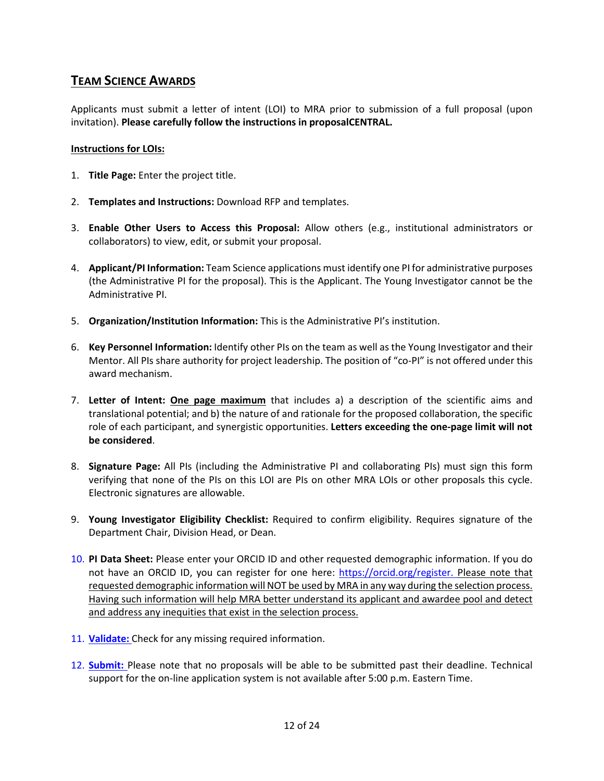## **TEAM SCIENCE AWARDS**

Applicants must submit a letter of intent (LOI) to MRA prior to submission of a full proposal (upon invitation). **Please carefully follow the instructions in proposalCENTRAL.** 

#### **Instructions for LOIs:**

- 1. **Title Page:** Enter the project title.
- 2. **Templates and Instructions:** Download RFP and templates.
- 3. **Enable Other Users to Access this Proposal:** Allow others (e.g., institutional administrators or collaborators) to view, edit, or submit your proposal.
- 4. **Applicant/PI Information:** Team Science applications must identify one PI for administrative purposes (the Administrative PI for the proposal). This is the Applicant. The Young Investigator cannot be the Administrative PI.
- 5. **Organization/Institution Information:** This is the Administrative PI's institution.
- 6. **Key Personnel Information:** Identify other PIs on the team as well as the Young Investigator and their Mentor. All PIs share authority for project leadership. The position of "co-PI" is not offered under this award mechanism.
- 7. **Letter of Intent: One page maximum** that includes a) a description of the scientific aims and translational potential; and b) the nature of and rationale for the proposed collaboration, the specific role of each participant, and synergistic opportunities. **Letters exceeding the one-page limit will not be considered**.
- 8. **Signature Page:** All PIs (including the Administrative PI and collaborating PIs) must sign this form verifying that none of the PIs on this LOI are PIs on other MRA LOIs or other proposals this cycle. Electronic signatures are allowable.
- 9. **Young Investigator Eligibility Checklist:** Required to confirm eligibility. Requires signature of the Department Chair, Division Head, or Dean.
- 10. **PI Data Sheet:** Please enter your ORCID ID and other requested demographic information. If you do not have an ORCID ID, you can register for one here: [https://orcid.org/register.](https://orcid.org/register) Please note that requested demographic information will NOT be used by MRA in any way during the selection process. Having such information will help MRA better understand its applicant and awardee pool and detect and address any inequities that exist in the selection process.
- 11. **Validate:** Check for any missing required information.
- 12. **Submit:** Please note that no proposals will be able to be submitted past their deadline. Technical support for the on-line application system is not available after 5:00 p.m. Eastern Time.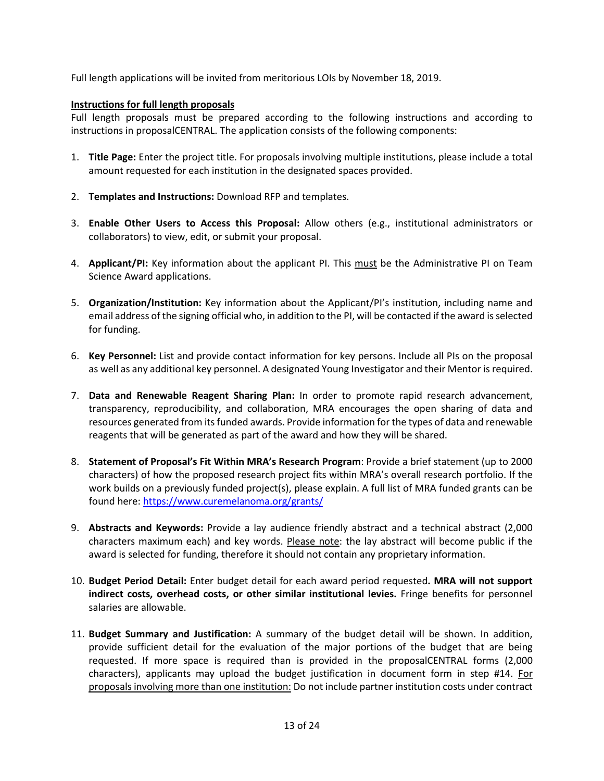Full length applications will be invited from meritorious LOIs by November 18, 2019.

#### **Instructions for full length proposals**

Full length proposals must be prepared according to the following instructions and according to instructions in proposalCENTRAL. The application consists of the following components:

- 1. **Title Page:** Enter the project title. For proposals involving multiple institutions, please include a total amount requested for each institution in the designated spaces provided.
- 2. **Templates and Instructions:** Download RFP and templates.
- 3. **Enable Other Users to Access this Proposal:** Allow others (e.g., institutional administrators or collaborators) to view, edit, or submit your proposal.
- 4. **Applicant/PI:** Key information about the applicant PI. This must be the Administrative PI on Team Science Award applications.
- 5. **Organization/Institution:** Key information about the Applicant/PI's institution, including name and email address of the signing official who, in addition to the PI, will be contacted if the award is selected for funding.
- 6. **Key Personnel:** List and provide contact information for key persons. Include all PIs on the proposal as well as any additional key personnel. A designated Young Investigator and their Mentor is required.
- 7. **Data and Renewable Reagent Sharing Plan:** In order to promote rapid research advancement, transparency, reproducibility, and collaboration, MRA encourages the open sharing of data and resources generated from its funded awards. Provide information for the types of data and renewable reagents that will be generated as part of the award and how they will be shared.
- 8. **Statement of Proposal's Fit Within MRA's Research Program**: Provide a brief statement (up to 2000 characters) of how the proposed research project fits within MRA's overall research portfolio. If the work builds on a previously funded project(s), please explain. A full list of MRA funded grants can be found here:<https://www.curemelanoma.org/grants/>
- 9. **Abstracts and Keywords:** Provide a lay audience friendly abstract and a technical abstract (2,000 characters maximum each) and key words. Please note: the lay abstract will become public if the award is selected for funding, therefore it should not contain any proprietary information.
- 10. **Budget Period Detail:** Enter budget detail for each award period requested**. MRA will not support indirect costs, overhead costs, or other similar institutional levies.** Fringe benefits for personnel salaries are allowable.
- 11. **Budget Summary and Justification:** A summary of the budget detail will be shown. In addition, provide sufficient detail for the evaluation of the major portions of the budget that are being requested. If more space is required than is provided in the proposalCENTRAL forms (2,000 characters), applicants may upload the budget justification in document form in step #14. For proposals involving more than one institution: Do not include partner institution costs under contract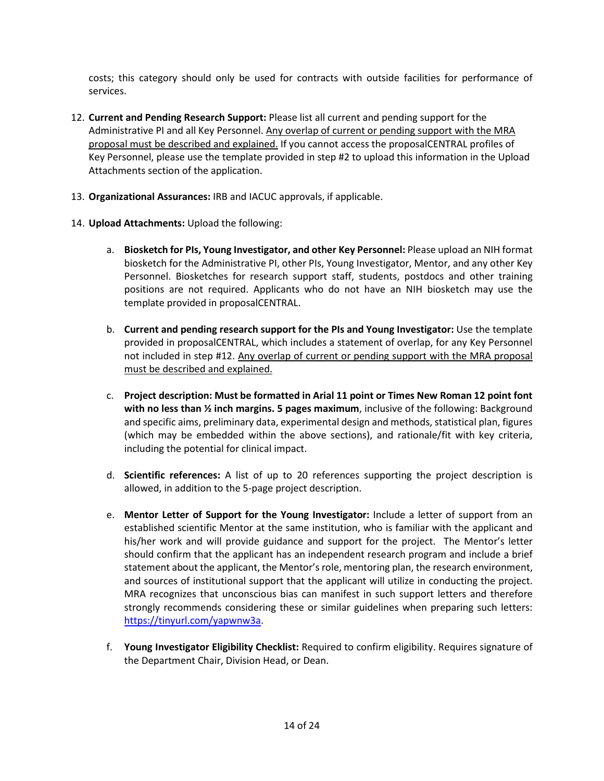costs; this category should only be used for contracts with outside facilities for performance of services.

- 12. **Current and Pending Research Support:** Please list all current and pending support for the Administrative PI and all Key Personnel. Any overlap of current or pending support with the MRA proposal must be described and explained. If you cannot access the proposalCENTRAL profiles of Key Personnel, please use the template provided in step #2 to upload this information in the Upload Attachments section of the application.
- 13. **Organizational Assurances:** IRB and IACUC approvals, if applicable.
- 14. **Upload Attachments:** Upload the following:
	- a. **Biosketch for PIs, Young Investigator, and other Key Personnel:** Please upload an NIH format biosketch for the Administrative PI, other PIs, Young Investigator, Mentor, and any other Key Personnel. Biosketches for research support staff, students, postdocs and other training positions are not required. Applicants who do not have an NIH biosketch may use the template provided in proposalCENTRAL.
	- b. **Current and pending research support for the PIs and Young Investigator:** Use the template provided in proposalCENTRAL, which includes a statement of overlap, for any Key Personnel not included in step #12. Any overlap of current or pending support with the MRA proposal must be described and explained.
	- c. **Project description: Must be formatted in Arial 11 point or Times New Roman 12 point font with no less than ½ inch margins. 5 pages maximum**, inclusive of the following: Background and specific aims, preliminary data, experimental design and methods, statistical plan, figures (which may be embedded within the above sections), and rationale/fit with key criteria, including the potential for clinical impact.
	- d. **Scientific references:** A list of up to 20 references supporting the project description is allowed, in addition to the 5-page project description.
	- e. **Mentor Letter of Support for the Young Investigator:** Include a letter of support from an established scientific Mentor at the same institution, who is familiar with the applicant and his/her work and will provide guidance and support for the project. The Mentor's letter should confirm that the applicant has an independent research program and include a brief statement about the applicant, the Mentor's role, mentoring plan, the research environment, and sources of institutional support that the applicant will utilize in conducting the project. MRA recognizes that unconscious bias can manifest in such support letters and therefore strongly recommends considering these or similar guidelines when preparing such letters: [https://tinyurl.com/yapwnw3a.](https://tinyurl.com/yapwnw3a)
	- f. **Young Investigator Eligibility Checklist:** Required to confirm eligibility. Requires signature of the Department Chair, Division Head, or Dean.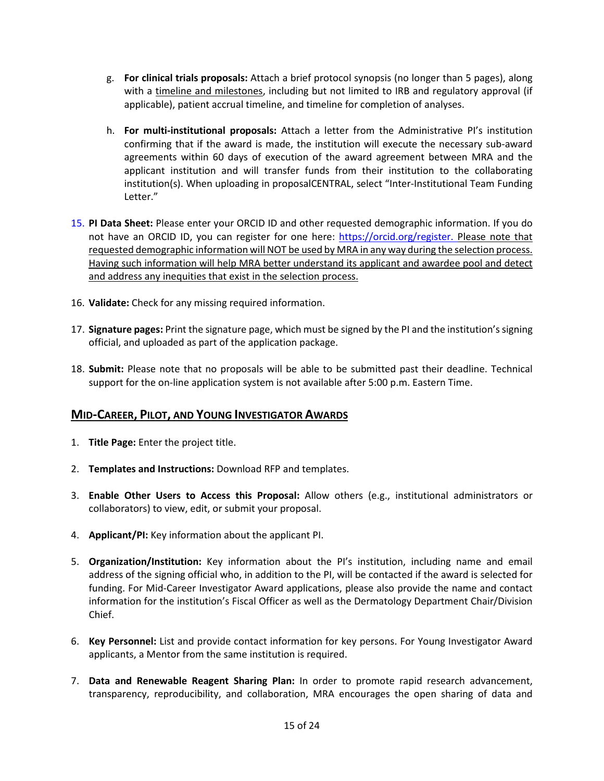- g. **For clinical trials proposals:** Attach a brief protocol synopsis (no longer than 5 pages), along with a timeline and milestones, including but not limited to IRB and regulatory approval (if applicable), patient accrual timeline, and timeline for completion of analyses.
- h. **For multi-institutional proposals:** Attach a letter from the Administrative PI's institution confirming that if the award is made, the institution will execute the necessary sub-award agreements within 60 days of execution of the award agreement between MRA and the applicant institution and will transfer funds from their institution to the collaborating institution(s). When uploading in proposalCENTRAL, select "Inter-Institutional Team Funding Letter."
- 15. **PI Data Sheet:** Please enter your ORCID ID and other requested demographic information. If you do not have an ORCID ID, you can register for one here: [https://orcid.org/register.](https://orcid.org/register) Please note that requested demographic information will NOT be used by MRA in any way during the selection process. Having such information will help MRA better understand its applicant and awardee pool and detect and address any inequities that exist in the selection process.
- 16. **Validate:** Check for any missing required information.
- 17. **Signature pages:** Print the signature page, which must be signed by the PI and the institution's signing official, and uploaded as part of the application package.
- 18. **Submit:** Please note that no proposals will be able to be submitted past their deadline. Technical support for the on-line application system is not available after 5:00 p.m. Eastern Time.

### **MID-CAREER, PILOT, AND YOUNG INVESTIGATOR AWARDS**

- 1. **Title Page:** Enter the project title.
- 2. **Templates and Instructions:** Download RFP and templates.
- 3. **Enable Other Users to Access this Proposal:** Allow others (e.g., institutional administrators or collaborators) to view, edit, or submit your proposal.
- 4. **Applicant/PI:** Key information about the applicant PI.
- 5. **Organization/Institution:** Key information about the PI's institution, including name and email address of the signing official who, in addition to the PI, will be contacted if the award is selected for funding. For Mid-Career Investigator Award applications, please also provide the name and contact information for the institution's Fiscal Officer as well as the Dermatology Department Chair/Division Chief.
- 6. **Key Personnel:** List and provide contact information for key persons. For Young Investigator Award applicants, a Mentor from the same institution is required.
- 7. **Data and Renewable Reagent Sharing Plan:** In order to promote rapid research advancement, transparency, reproducibility, and collaboration, MRA encourages the open sharing of data and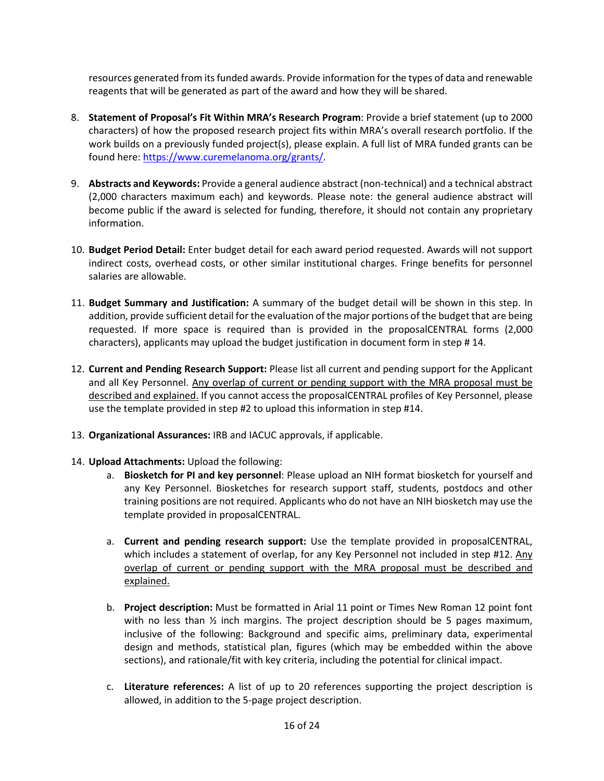resources generated from its funded awards. Provide information for the types of data and renewable reagents that will be generated as part of the award and how they will be shared.

- 8. **Statement of Proposal's Fit Within MRA's Research Program**: Provide a brief statement (up to 2000 characters) of how the proposed research project fits within MRA's overall research portfolio. If the work builds on a previously funded project(s), please explain. A full list of MRA funded grants can be found here: [https://www.curemelanoma.org/grants/.](https://www.curemelanoma.org/grants/)
- 9. **Abstracts and Keywords:** Provide a general audience abstract (non-technical) and a technical abstract (2,000 characters maximum each) and keywords. Please note: the general audience abstract will become public if the award is selected for funding, therefore, it should not contain any proprietary information.
- 10. **Budget Period Detail:** Enter budget detail for each award period requested. Awards will not support indirect costs, overhead costs, or other similar institutional charges. Fringe benefits for personnel salaries are allowable.
- 11. **Budget Summary and Justification:** A summary of the budget detail will be shown in this step. In addition, provide sufficient detail for the evaluation of the major portions of the budget that are being requested. If more space is required than is provided in the proposalCENTRAL forms (2,000 characters), applicants may upload the budget justification in document form in step # 14.
- 12. **Current and Pending Research Support:** Please list all current and pending support for the Applicant and all Key Personnel. Any overlap of current or pending support with the MRA proposal must be described and explained. If you cannot access the proposalCENTRAL profiles of Key Personnel, please use the template provided in step #2 to upload this information in step #14.
- 13. **Organizational Assurances:** IRB and IACUC approvals, if applicable.
- 14. **Upload Attachments:** Upload the following:
	- a. **Biosketch for PI and key personnel**: Please upload an NIH format biosketch for yourself and any Key Personnel. Biosketches for research support staff, students, postdocs and other training positions are not required. Applicants who do not have an NIH biosketch may use the template provided in proposalCENTRAL.
	- a. **Current and pending research support:** Use the template provided in proposalCENTRAL, which includes a statement of overlap, for any Key Personnel not included in step #12. Any overlap of current or pending support with the MRA proposal must be described and explained.
	- b. **Project description:** Must be formatted in Arial 11 point or Times New Roman 12 point font with no less than  $\frac{1}{2}$  inch margins. The project description should be 5 pages maximum, inclusive of the following: Background and specific aims, preliminary data, experimental design and methods, statistical plan, figures (which may be embedded within the above sections), and rationale/fit with key criteria, including the potential for clinical impact.
	- c. **Literature references:** A list of up to 20 references supporting the project description is allowed, in addition to the 5-page project description.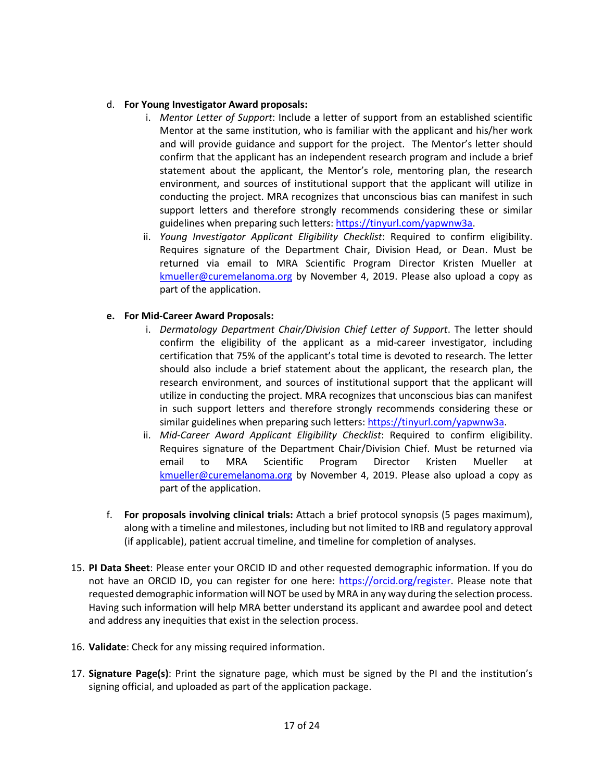#### d. **For Young Investigator Award proposals:**

- i. *Mentor Letter of Support*: Include a letter of support from an established scientific Mentor at the same institution, who is familiar with the applicant and his/her work and will provide guidance and support for the project. The Mentor's letter should confirm that the applicant has an independent research program and include a brief statement about the applicant, the Mentor's role, mentoring plan, the research environment, and sources of institutional support that the applicant will utilize in conducting the project. MRA recognizes that unconscious bias can manifest in such support letters and therefore strongly recommends considering these or similar guidelines when preparing such letters[: https://tinyurl.com/yapwnw3a.](https://tinyurl.com/yapwnw3a)
- ii. *Young Investigator Applicant Eligibility Checklist*: Required to confirm eligibility. Requires signature of the Department Chair, Division Head, or Dean. Must be returned via email to MRA Scientific Program Director Kristen Mueller at [kmueller@curemelanoma.org](mailto:kmueller@curemelanoma.org) by November 4, 2019. Please also upload a copy as part of the application.

#### **e. For Mid-Career Award Proposals:**

- i. *Dermatology Department Chair/Division Chief Letter of Support*. The letter should confirm the eligibility of the applicant as a mid-career investigator, including certification that 75% of the applicant's total time is devoted to research. The letter should also include a brief statement about the applicant, the research plan, the research environment, and sources of institutional support that the applicant will utilize in conducting the project. MRA recognizes that unconscious bias can manifest in such support letters and therefore strongly recommends considering these or similar guidelines when preparing such letters: [https://tinyurl.com/yapwnw3a.](https://tinyurl.com/yapwnw3a)
- ii. *Mid-Career Award Applicant Eligibility Checklist*: Required to confirm eligibility. Requires signature of the Department Chair/Division Chief. Must be returned via email to MRA Scientific Program Director Kristen Mueller at [kmueller@curemelanoma.org](mailto:kmueller@curemelanoma.org) by November 4, 2019. Please also upload a copy as part of the application.
- f. **For proposals involving clinical trials:** Attach a brief protocol synopsis (5 pages maximum), along with a timeline and milestones, including but not limited to IRB and regulatory approval (if applicable), patient accrual timeline, and timeline for completion of analyses.
- 15. **PI Data Sheet**: Please enter your ORCID ID and other requested demographic information. If you do not have an ORCID ID, you can register for one here: [https://orcid.org/register.](https://orcid.org/register) Please note that requested demographic information will NOT be used by MRA in any way during the selection process. Having such information will help MRA better understand its applicant and awardee pool and detect and address any inequities that exist in the selection process.
- 16. **Validate**: Check for any missing required information.
- 17. **Signature Page(s)**: Print the signature page, which must be signed by the PI and the institution's signing official, and uploaded as part of the application package.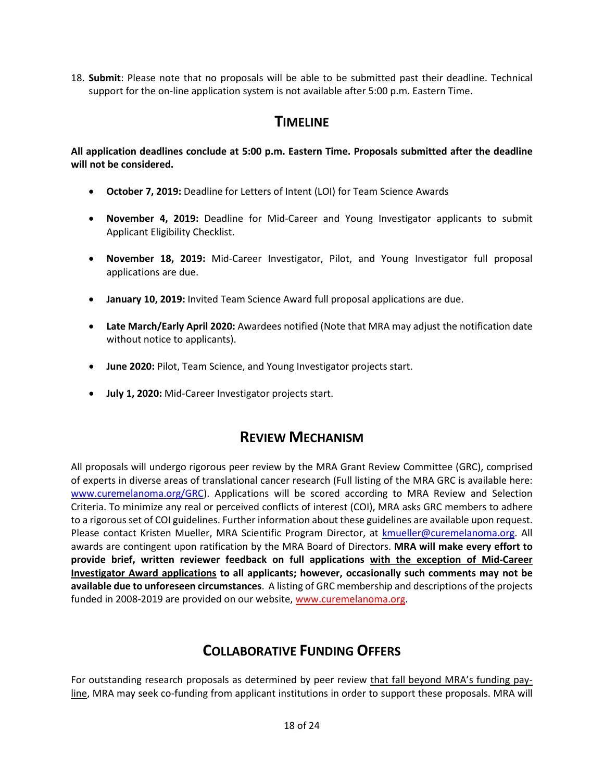18. **Submit**: Please note that no proposals will be able to be submitted past their deadline. Technical support for the on-line application system is not available after 5:00 p.m. Eastern Time.

## **TIMELINE**

**All application deadlines conclude at 5:00 p.m. Eastern Time. Proposals submitted after the deadline will not be considered.**

- **October 7, 2019:** Deadline for Letters of Intent (LOI) for Team Science Awards
- **November 4, 2019:** Deadline for Mid-Career and Young Investigator applicants to submit Applicant Eligibility Checklist.
- **November 18, 2019:** Mid-Career Investigator, Pilot, and Young Investigator full proposal applications are due.
- **January 10, 2019:** Invited Team Science Award full proposal applications are due.
- **Late March/Early April 2020:** Awardees notified (Note that MRA may adjust the notification date without notice to applicants).
- **June 2020:** Pilot, Team Science, and Young Investigator projects start.
- **July 1, 2020:** Mid-Career Investigator projects start.

## **REVIEW MECHANISM**

All proposals will undergo rigorous peer review by the MRA Grant Review Committee (GRC), comprised of experts in diverse areas of translational cancer research (Full listing of the MRA GRC is available here: [www.curemelanoma.org/GRC\)](http://www.curemelanoma.org/GRC). Applications will be scored according to MRA Review and Selection Criteria. To minimize any real or perceived conflicts of interest (COI), MRA asks GRC members to adhere to a rigorous set of COI guidelines. Further information about these guidelines are available upon request. Please contact Kristen Mueller, MRA Scientific Program Director, at [kmueller@curemelanoma.org.](mailto:kmueller@curemelanoma.org) All awards are contingent upon ratification by the MRA Board of Directors. **MRA will make every effort to provide brief, written reviewer feedback on full applications with the exception of Mid-Career Investigator Award applications to all applicants; however, occasionally such comments may not be available due to unforeseen circumstances**. A listing of GRC membership and descriptions of the projects funded in 2008-2019 are provided on our website[, www.curemelanoma.org.](http://www.melanomaresearchalliance.org/)

# **COLLABORATIVE FUNDING OFFERS**

For outstanding research proposals as determined by peer review that fall beyond MRA's funding payline, MRA may seek co-funding from applicant institutions in order to support these proposals. MRA will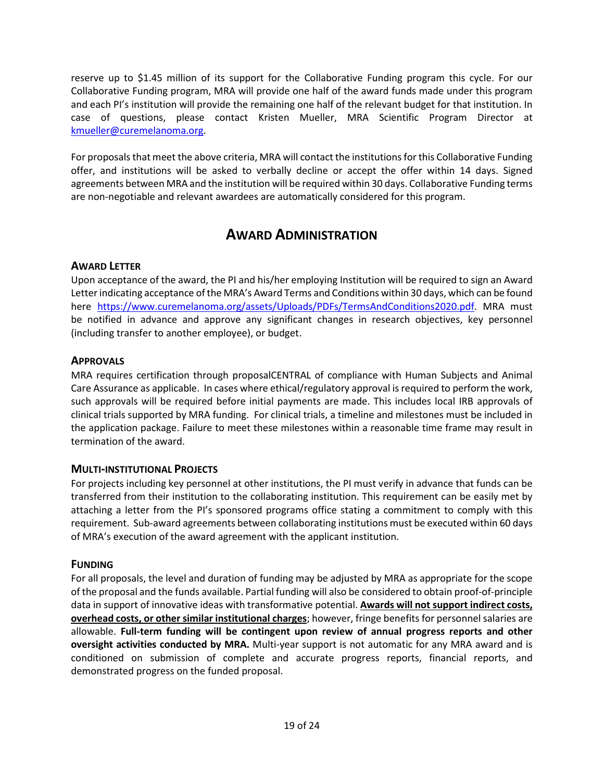reserve up to \$1.45 million of its support for the Collaborative Funding program this cycle. For our Collaborative Funding program, MRA will provide one half of the award funds made under this program and each PI's institution will provide the remaining one half of the relevant budget for that institution. In case of questions, please contact Kristen Mueller, MRA Scientific Program Director at [kmueller@curemelanoma.org.](mailto:kmueller@curemelanoma.org)

For proposals that meet the above criteria, MRA will contact the institutions for this Collaborative Funding offer, and institutions will be asked to verbally decline or accept the offer within 14 days. Signed agreements between MRA and the institution will be required within 30 days. Collaborative Funding terms are non-negotiable and relevant awardees are automatically considered for this program.

# **AWARD ADMINISTRATION**

### **AWARD LETTER**

Upon acceptance of the award, the PI and his/her employing Institution will be required to sign an Award Letter indicating acceptance of the MRA's Award Terms and Conditions within 30 days, which can be found here [https://www.curemelanoma.org/assets/Uploads/PDFs/TermsAndConditions2020.pdf.](https://www.curemelanoma.org/assets/Uploads/PDFs/TermsAndConditions2020.pdf) MRA must be notified in advance and approve any significant changes in research objectives, key personnel (including transfer to another employee), or budget.

### **APPROVALS**

MRA requires certification through proposalCENTRAL of compliance with Human Subjects and Animal Care Assurance as applicable. In cases where ethical/regulatory approval is required to perform the work, such approvals will be required before initial payments are made. This includes local IRB approvals of clinical trials supported by MRA funding. For clinical trials, a timeline and milestones must be included in the application package. Failure to meet these milestones within a reasonable time frame may result in termination of the award.

### **MULTI-INSTITUTIONAL PROJECTS**

For projects including key personnel at other institutions, the PI must verify in advance that funds can be transferred from their institution to the collaborating institution. This requirement can be easily met by attaching a letter from the PI's sponsored programs office stating a commitment to comply with this requirement. Sub-award agreements between collaborating institutions must be executed within 60 days of MRA's execution of the award agreement with the applicant institution.

### **FUNDING**

For all proposals, the level and duration of funding may be adjusted by MRA as appropriate for the scope of the proposal and the funds available. Partial funding will also be considered to obtain proof-of-principle data in support of innovative ideas with transformative potential. **Awards will not support indirect costs, overhead costs, or other similar institutional charges**; however, fringe benefits for personnel salaries are allowable. **Full-term funding will be contingent upon review of annual progress reports and other oversight activities conducted by MRA.** Multi-year support is not automatic for any MRA award and is conditioned on submission of complete and accurate progress reports, financial reports, and demonstrated progress on the funded proposal.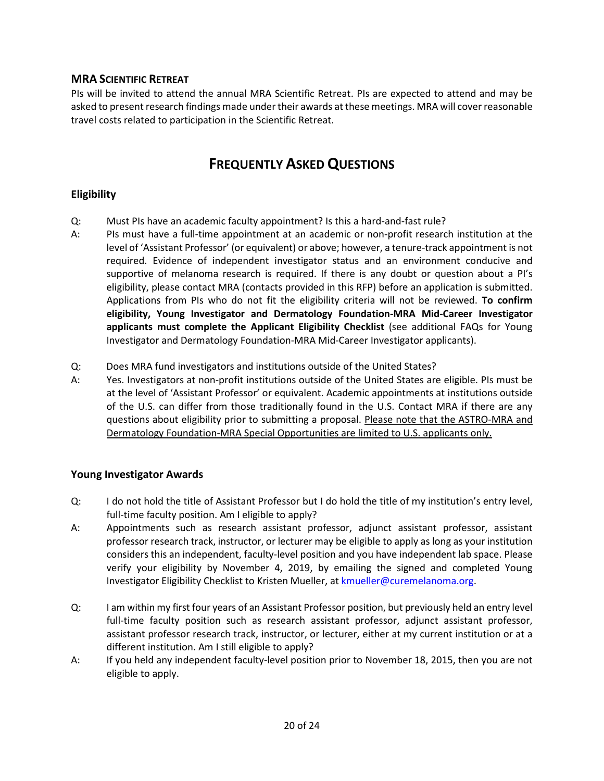### **MRA SCIENTIFIC RETREAT**

PIs will be invited to attend the annual MRA Scientific Retreat. PIs are expected to attend and may be asked to present research findings made under their awards at these meetings. MRA will cover reasonable travel costs related to participation in the Scientific Retreat.

# **FREQUENTLY ASKED QUESTIONS**

### **Eligibility**

- Q: Must PIs have an academic faculty appointment? Is this a hard-and-fast rule?
- A: PIs must have a full-time appointment at an academic or non-profit research institution at the level of 'Assistant Professor' (or equivalent) or above; however, a tenure-track appointment is not required. Evidence of independent investigator status and an environment conducive and supportive of melanoma research is required. If there is any doubt or question about a PI's eligibility, please contact MRA (contacts provided in this RFP) before an application is submitted. Applications from PIs who do not fit the eligibility criteria will not be reviewed. **To confirm eligibility, Young Investigator and Dermatology Foundation-MRA Mid-Career Investigator applicants must complete the Applicant Eligibility Checklist** (see additional FAQs for Young Investigator and Dermatology Foundation-MRA Mid-Career Investigator applicants).
- Q: Does MRA fund investigators and institutions outside of the United States?
- A: Yes. Investigators at non-profit institutions outside of the United States are eligible. PIs must be at the level of 'Assistant Professor' or equivalent. Academic appointments at institutions outside of the U.S. can differ from those traditionally found in the U.S. Contact MRA if there are any questions about eligibility prior to submitting a proposal. Please note that the ASTRO-MRA and Dermatology Foundation-MRA Special Opportunities are limited to U.S. applicants only.

### **Young Investigator Awards**

- Q: I do not hold the title of Assistant Professor but I do hold the title of my institution's entry level, full-time faculty position. Am I eligible to apply?
- A: Appointments such as research assistant professor, adjunct assistant professor, assistant professor research track, instructor, or lecturer may be eligible to apply as long as your institution considers this an independent, faculty-level position and you have independent lab space. Please verify your eligibility by November 4, 2019, by emailing the signed and completed Young Investigator Eligibility Checklist to Kristen Mueller, at [kmueller@curemelanoma.org.](mailto:kmueller@curemelanoma.org)
- Q: I am within my first four years of an Assistant Professor position, but previously held an entry level full-time faculty position such as research assistant professor, adjunct assistant professor, assistant professor research track, instructor, or lecturer, either at my current institution or at a different institution. Am I still eligible to apply?
- A: If you held any independent faculty-level position prior to November 18, 2015, then you are not eligible to apply.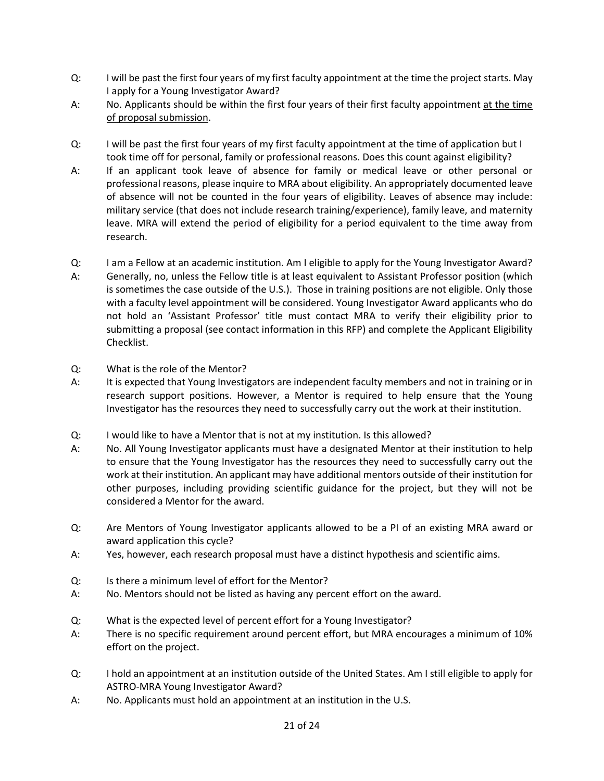- Q: I will be past the first four years of my first faculty appointment at the time the project starts. May I apply for a Young Investigator Award?
- A: No. Applicants should be within the first four years of their first faculty appointment at the time of proposal submission.
- Q: I will be past the first four years of my first faculty appointment at the time of application but I took time off for personal, family or professional reasons. Does this count against eligibility?
- A: If an applicant took leave of absence for family or medical leave or other personal or professional reasons, please inquire to MRA about eligibility. An appropriately documented leave of absence will not be counted in the four years of eligibility. Leaves of absence may include: military service (that does not include research training/experience), family leave, and maternity leave. MRA will extend the period of eligibility for a period equivalent to the time away from research.
- Q: I am a Fellow at an academic institution. Am I eligible to apply for the Young Investigator Award? A: Generally, no, unless the Fellow title is at least equivalent to Assistant Professor position (which is sometimes the case outside of the U.S.). Those in training positions are not eligible. Only those with a faculty level appointment will be considered. Young Investigator Award applicants who do not hold an 'Assistant Professor' title must contact MRA to verify their eligibility prior to submitting a proposal (see contact information in this RFP) and complete the Applicant Eligibility Checklist.
- Q: What is the role of the Mentor?
- A: It is expected that Young Investigators are independent faculty members and not in training or in research support positions. However, a Mentor is required to help ensure that the Young Investigator has the resources they need to successfully carry out the work at their institution.
- Q: I would like to have a Mentor that is not at my institution. Is this allowed?
- A: No. All Young Investigator applicants must have a designated Mentor at their institution to help to ensure that the Young Investigator has the resources they need to successfully carry out the work at their institution. An applicant may have additional mentors outside of their institution for other purposes, including providing scientific guidance for the project, but they will not be considered a Mentor for the award.
- Q: Are Mentors of Young Investigator applicants allowed to be a PI of an existing MRA award or award application this cycle?
- A: Yes, however, each research proposal must have a distinct hypothesis and scientific aims.
- Q: Is there a minimum level of effort for the Mentor?
- A: No. Mentors should not be listed as having any percent effort on the award.
- Q: What is the expected level of percent effort for a Young Investigator?
- A: There is no specific requirement around percent effort, but MRA encourages a minimum of 10% effort on the project.
- Q: I hold an appointment at an institution outside of the United States. Am I still eligible to apply for ASTRO-MRA Young Investigator Award?
- A: No. Applicants must hold an appointment at an institution in the U.S.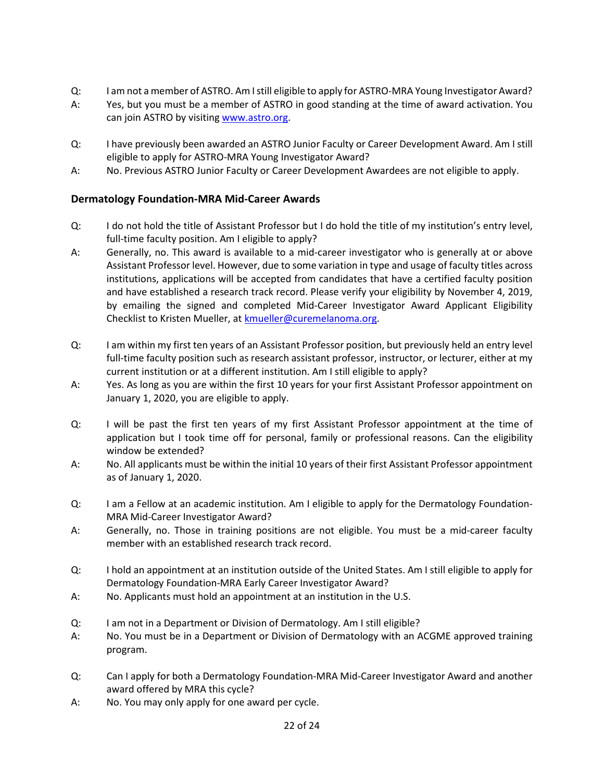- Q: I am not a member of ASTRO. Am I still eligible to apply for ASTRO-MRA Young Investigator Award?
- A: Yes, but you must be a member of ASTRO in good standing at the time of award activation. You can join ASTRO by visiting [www.astro.org.](http://www.astro.org/)
- Q: I have previously been awarded an ASTRO Junior Faculty or Career Development Award. Am I still eligible to apply for ASTRO-MRA Young Investigator Award?
- A: No. Previous ASTRO Junior Faculty or Career Development Awardees are not eligible to apply.

### **Dermatology Foundation-MRA Mid-Career Awards**

- Q: I do not hold the title of Assistant Professor but I do hold the title of my institution's entry level, full-time faculty position. Am I eligible to apply?
- A: Generally, no. This award is available to a mid-career investigator who is generally at or above Assistant Professor level. However, due to some variation in type and usage of faculty titles across institutions, applications will be accepted from candidates that have a certified faculty position and have established a research track record. Please verify your eligibility by November 4, 2019, by emailing the signed and completed Mid-Career Investigator Award Applicant Eligibility Checklist to Kristen Mueller, at **kmueller@curemelanoma.org**.
- Q: I am within my first ten years of an Assistant Professor position, but previously held an entry level full-time faculty position such as research assistant professor, instructor, or lecturer, either at my current institution or at a different institution. Am I still eligible to apply?
- A: Yes. As long as you are within the first 10 years for your first Assistant Professor appointment on January 1, 2020, you are eligible to apply.
- Q: I will be past the first ten years of my first Assistant Professor appointment at the time of application but I took time off for personal, family or professional reasons. Can the eligibility window be extended?
- A: No. All applicants must be within the initial 10 years of their first Assistant Professor appointment as of January 1, 2020.
- Q: I am a Fellow at an academic institution. Am I eligible to apply for the Dermatology Foundation-MRA Mid-Career Investigator Award?
- A: Generally, no. Those in training positions are not eligible. You must be a mid-career faculty member with an established research track record.
- Q: I hold an appointment at an institution outside of the United States. Am I still eligible to apply for Dermatology Foundation-MRA Early Career Investigator Award?
- A: No. Applicants must hold an appointment at an institution in the U.S.
- Q: I am not in a Department or Division of Dermatology. Am I still eligible?
- A: No. You must be in a Department or Division of Dermatology with an ACGME approved training program.
- Q: Can I apply for both a Dermatology Foundation-MRA Mid-Career Investigator Award and another award offered by MRA this cycle?
- A: No. You may only apply for one award per cycle.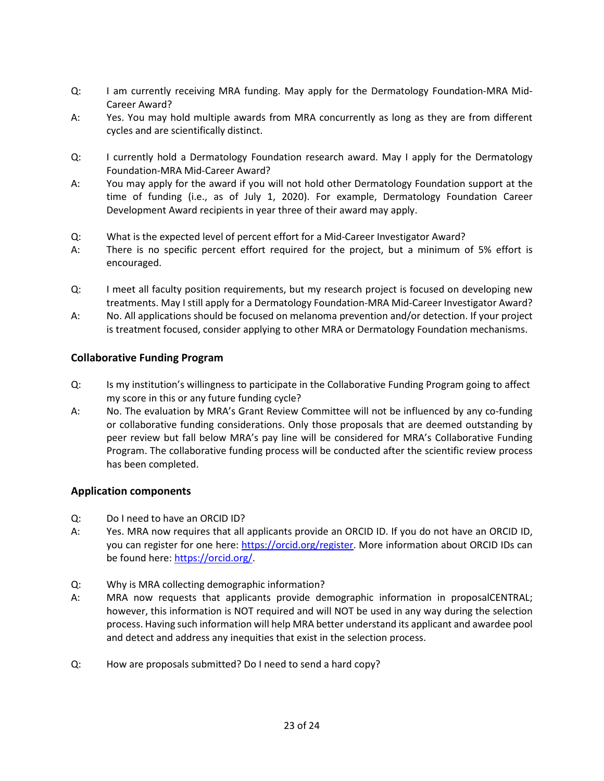- Q: I am currently receiving MRA funding. May apply for the Dermatology Foundation-MRA Mid-Career Award?
- A: Yes. You may hold multiple awards from MRA concurrently as long as they are from different cycles and are scientifically distinct.
- Q: I currently hold a Dermatology Foundation research award. May I apply for the Dermatology Foundation-MRA Mid-Career Award?
- A: You may apply for the award if you will not hold other Dermatology Foundation support at the time of funding (i.e., as of July 1, 2020). For example, Dermatology Foundation Career Development Award recipients in year three of their award may apply.
- Q: What is the expected level of percent effort for a Mid-Career Investigator Award?
- A: There is no specific percent effort required for the project, but a minimum of 5% effort is encouraged.
- Q: I meet all faculty position requirements, but my research project is focused on developing new treatments. May I still apply for a Dermatology Foundation-MRA Mid-Career Investigator Award?
- A: No. All applications should be focused on melanoma prevention and/or detection. If your project is treatment focused, consider applying to other MRA or Dermatology Foundation mechanisms.

### **Collaborative Funding Program**

- Q: Is my institution's willingness to participate in the Collaborative Funding Program going to affect my score in this or any future funding cycle?
- A: No. The evaluation by MRA's Grant Review Committee will not be influenced by any co-funding or collaborative funding considerations. Only those proposals that are deemed outstanding by peer review but fall below MRA's pay line will be considered for MRA's Collaborative Funding Program. The collaborative funding process will be conducted after the scientific review process has been completed.

### **Application components**

- Q: Do I need to have an ORCID ID?
- A: Yes. MRA now requires that all applicants provide an ORCID ID. If you do not have an ORCID ID, you can register for one here: [https://orcid.org/register.](https://orcid.org/register) More information about ORCID IDs can be found here[: https://orcid.org/.](https://orcid.org/)
- Q: Why is MRA collecting demographic information?
- A: MRA now requests that applicants provide demographic information in proposalCENTRAL; however, this information is NOT required and will NOT be used in any way during the selection process. Having such information will help MRA better understand its applicant and awardee pool and detect and address any inequities that exist in the selection process.
- Q: How are proposals submitted? Do I need to send a hard copy?